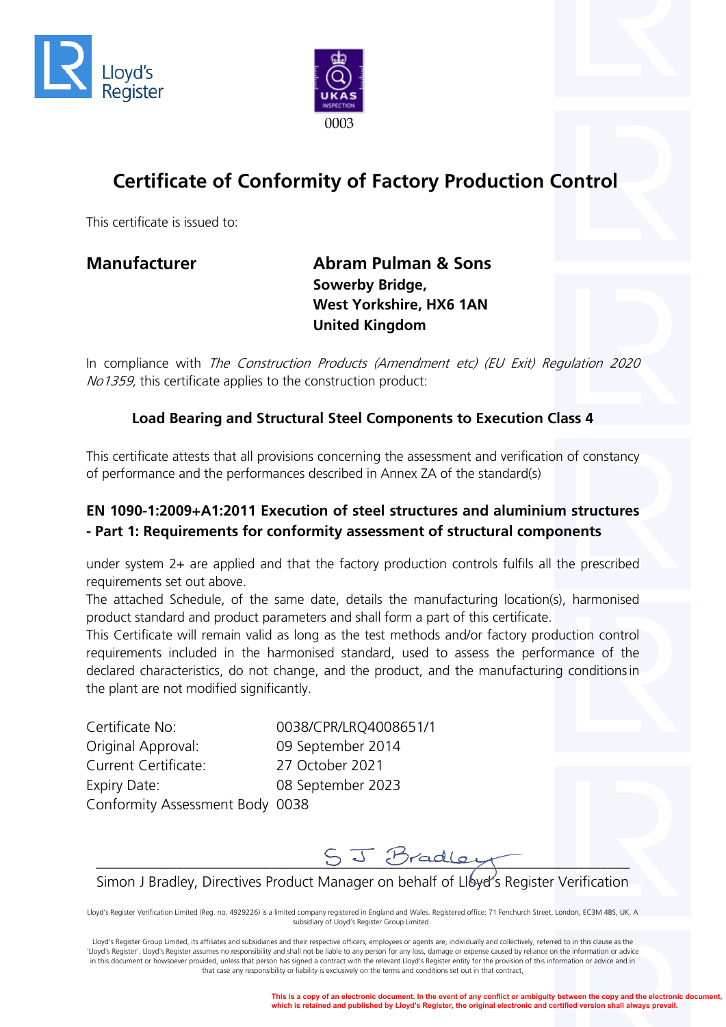



# **Certificate of Conformity of Factory Production Control**

This certificate is issued to:

**Manufacturer Manufacturer Abram Pulman & Sons Sowerby Bridge, West Yorkshire, HX6 1AN United Kingdom**

In compliance with The Construction Products (Amendment etc) (EU Exit) Regulation 2020 No1359, this certificate applies to the construction product:

### **Load Bearing and Structural Steel Components to Execution Class 4**

This certificate attests that all provisions concerning the assessment and verification of constancy of performance and the performances described in Annex ZA of the standard(s)

### **EN 1090-1:2009+A1:2011 Execution of steel structures and aluminium structures - Part 1: Requirements for conformity assessment of structural components**

under system 2+ are applied and that the factory production controls fulfils all the prescribed requirements set out above.

The attached Schedule, of the same date, details the manufacturing location(s), harmonised product standard and product parameters and shall form a part of this certificate.

This Certificate will remain valid as long as the test methods and/or factory production control requirements included in the harmonised standard, used to assess the performance of the declared characteristics, do not change, and the product, and the manufacturing conditionsin the plant are not modified significantly.

Certificate No: 0038/CPR/LRQ4008651/1 Original Approval: 09 September 2014 Current Certificate: 27 October 2021 Expiry Date: 08 September 2023 Conformity Assessment Body 0038



Simon J Bradley, Directives Product Manager on behalf of Lloyer's Register Verification

Lloyd's Register Verification Limited (Reg. no. 4929226) is a limited company registered in England and Wales. Registered office: 71 Fenchurch Street, London, EC3M 4BS, UK. A subsidiary of Lloyd's Register Group Limited.

Lloyd's Register Group Limited, its affiliates and subsidiaries and their respective officers, employees or agents are, individually and collectively, referred to in this clause as the 'Lloyd's Register'. Lloyd's Register assumes no responsibility and shall not be liable to any person for any loss, damage or expense caused by reliance on the information or advice in this document or howsoever provided, unless that person has signed a contract with the relevant Lloyd's Register entity for the provision of this information or advice and in that case any responsibility or liability is exclusively on the terms and conditions set out in that contract.